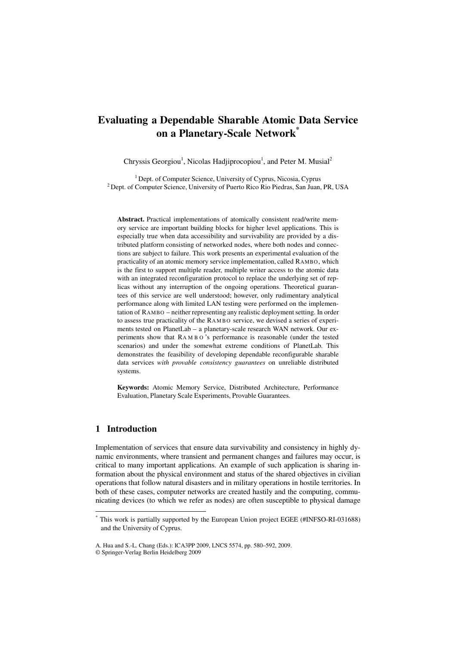Chryssis Georgiou<sup>1</sup>, Nicolas Hadjiprocopiou<sup>1</sup>, and Peter M. Musial<sup>2</sup>

 $1$  Dept. of Computer Science, University of Cyprus, Nicosia, Cyprus 2 Dept. of Computer Science, University of Puerto Rico Rio Piedras, San Juan, PR, USA

**Abstract.** Practical implementations of atomically consistent read/write memory service are important building blocks for higher level applications. This is especially true when data accessibility and survivability are provided by a distributed platform consisting of networked nodes, where both nodes and connections are subject to failure. This work presents an experimental evaluation of the practicality of an atomic memory service implementation, called RAMBO, which is the first to support multiple reader, multiple writer access to the atomic data with an integrated reconfiguration protocol to replace the underlying set of replicas without any interruption of the ongoing operations. Theoretical guarantees of this service are well understood; however, only rudimentary analytical performance along with limited LAN testing were performed on the implementation of RAMBO – neither representing any realistic deployment setting. In order to assess true practicality of the RAMBO service, we devised a series of experiments tested on PlanetLab – a planetary-scale research WAN network. Our experiments show that RA M B O 's performance is reasonable (under the tested scenarios) and under the somewhat extreme conditions of PlanetLab. This demonstrates the feasibility of developing dependable reconfigurable sharable data services *with provable consistency guarantees* on unreliable distributed systems.

**Keywords:** Atomic Memory Service, Distributed Architecture, Performance Evaluation, Planetary Scale Experiments, Provable Guarantees.

# **1 Introduction**

j

Implementation of services that ensure data survivability and consistency in highly dynamic environments, where transient and permanent changes and failures may occur, is critical to many important applications. An example of such application is sharing information about the physical environment and status of the shared objectives in civilian operations that follow natural disasters and in military operations in hostile territories. In both of these cases, computer networks are created hastily and the computing, communicating devices (to which we refer as nodes) are often susceptible to physical damage

<sup>\*</sup> This work is partially supported by the European Union project EGEE (#INFSO-RI-031688) and the University of Cyprus.

A. Hua and S.-L. Chang (Eds.): ICA3PP 2009, LNCS 5574, pp. 580–592, 2009.

<sup>©</sup> Springer-Verlag Berlin Heidelberg 2009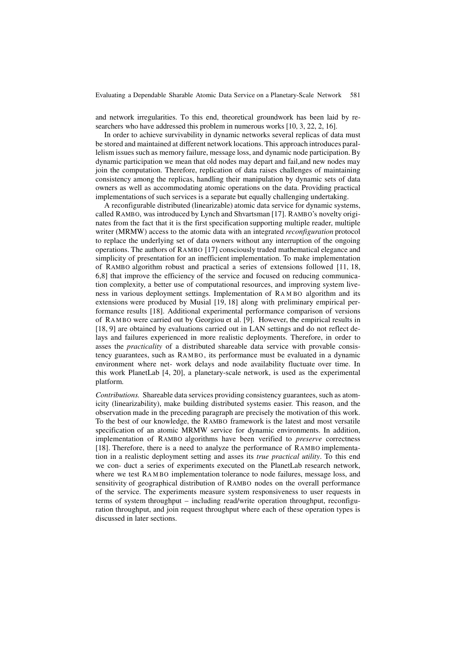and network irregularities. To this end, theoretical groundwork has been laid by researchers who have addressed this problem in numerous works [10, 3, 22, 2, 16].

In order to achieve survivability in dynamic networks several replicas of data must be stored and maintained at different network locations. This approach introduces parallelism issues such as memory failure, message loss, and dynamic node participation. By dynamic participation we mean that old nodes may depart and fail,and new nodes may join the computation. Therefore, replication of data raises challenges of maintaining consistency among the replicas, handling their manipulation by dynamic sets of data owners as well as accommodating atomic operations on the data. Providing practical implementations of such services is a separate but equally challenging undertaking.

A reconfigurable distributed (linearizable) atomic data service for dynamic systems, called RAMBO, was introduced by Lynch and Shvartsman [17]. RAMBO's novelty originates from the fact that it is the first specification supporting multiple reader, multiple writer (MRMW) access to the atomic data with an integrated *reconfiguration* protocol to replace the underlying set of data owners without any interruption of the ongoing operations. The authors of RAM BO [17] consciously traded mathematical elegance and simplicity of presentation for an inefficient implementation. To make implementation of RAMBO algorithm robust and practical a series of extensions followed [11, 18, 6,8] that improve the efficiency of the service and focused on reducing communication complexity, a better use of computational resources, and improving system liveness in various deployment settings. Implementation of RA M BO algorithm and its extensions were produced by Musial [19, 18] along with preliminary empirical performance results [18]. Additional experimental performance comparison of versions of RA M BO were carried out by Georgiou et al. [9]. However, the empirical results in [18, 9] are obtained by evaluations carried out in LAN settings and do not reflect delays and failures experienced in more realistic deployments. Therefore, in order to asses the *practicality* of a distributed shareable data service with provable consistency guarantees, such as RA MBO , its performance must be evaluated in a dynamic environment where net- work delays and node availability fluctuate over time. In this work PlanetLab [4, 20], a planetary-scale network, is used as the experimental platform.

*Contributions.* Shareable data services providing consistency guarantees, such as atomicity (linearizability), make building distributed systems easier. This reason, and the observation made in the preceding paragraph are precisely the motivation of this work. To the best of our knowledge, the RAMBO framework is the latest and most versatile specification of an atomic MRMW service for dynamic environments. In addition, implementation of RAMBO algorithms have been verified to *preserve* correctness [18]. Therefore, there is a need to analyze the performance of RAMBO implementation in a realistic deployment setting and asses its *true practical utility*. To this end we con- duct a series of experiments executed on the PlanetLab research network, where we test RAMBO implementation tolerance to node failures, message loss, and sensitivity of geographical distribution of RAMBO nodes on the overall performance of the service. The experiments measure system responsiveness to user requests in terms of system throughput – including read/write operation throughput, reconfiguration throughput, and join request throughput where each of these operation types is discussed in later sections.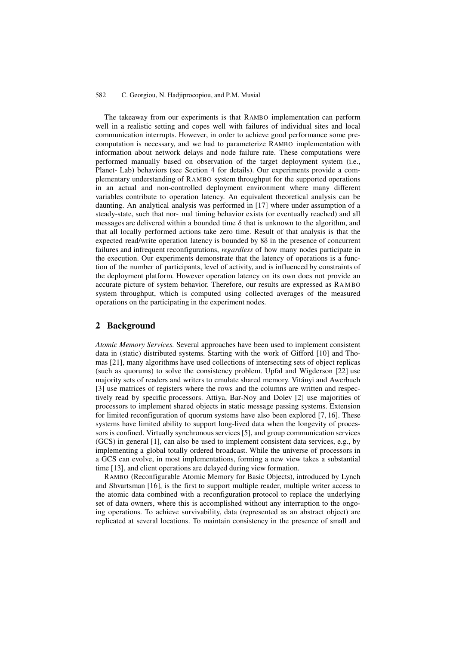The takeaway from our experiments is that RAMBO implementation can perform well in a realistic setting and copes well with failures of individual sites and local communication interrupts. However, in order to achieve good performance some precomputation is necessary, and we had to parameterize RAMBO implementation with information about network delays and node failure rate. These computations were performed manually based on observation of the target deployment system (i.e., Planet- Lab) behaviors (see Section 4 for details). Our experiments provide a complementary understanding of RAMBO system throughput for the supported operations in an actual and non-controlled deployment environment where many different variables contribute to operation latency. An equivalent theoretical analysis can be daunting. An analytical analysis was performed in [17] where under assumption of a steady-state, such that nor- mal timing behavior exists (or eventually reached) and all messages are delivered within a bounded time  $\delta$  that is unknown to the algorithm, and that all locally performed actions take zero time. Result of that analysis is that the expected read/write operation latency is bounded by 8δ in the presence of concurrent failures and infrequent reconfigurations, *regardless* of how many nodes participate in the execution. Our experiments demonstrate that the latency of operations is a function of the number of participants, level of activity, and is influenced by constraints of the deployment platform. However operation latency on its own does not provide an accurate picture of system behavior. Therefore, our results are expressed as RA M BO system throughput, which is computed using collected averages of the measured operations on the participating in the experiment nodes.

### **2 Background**

*Atomic Memory Services.* Several approaches have been used to implement consistent data in (static) distributed systems. Starting with the work of Gifford [10] and Thomas [21], many algorithms have used collections of intersecting sets of object replicas (such as quorums) to solve the consistency problem. Upfal and Wigderson [22] use majority sets of readers and writers to emulate shared memory. Vitányi and Awerbuch [3] use matrices of registers where the rows and the columns are written and respectively read by specific processors. Attiya, Bar-Noy and Dolev [2] use majorities of processors to implement shared objects in static message passing systems. Extension for limited reconfiguration of quorum systems have also been explored [7, 16]. These systems have limited ability to support long-lived data when the longevity of processors is confined. Virtually synchronous services [5], and group communication services (GCS) in general [1], can also be used to implement consistent data services, e.g., by implementing a global totally ordered broadcast. While the universe of processors in a GCS can evolve, in most implementations, forming a new view takes a substantial time [13], and client operations are delayed during view formation.

RAMBO (Reconfigurable Atomic Memory for Basic Objects), introduced by Lynch and Shvartsman [16], is the first to support multiple reader, multiple writer access to the atomic data combined with a reconfiguration protocol to replace the underlying set of data owners, where this is accomplished without any interruption to the ongoing operations. To achieve survivability, data (represented as an abstract object) are replicated at several locations. To maintain consistency in the presence of small and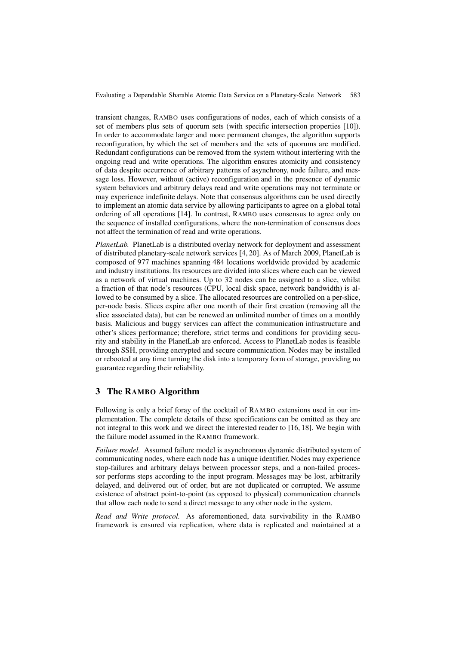transient changes, RAMBO uses configurations of nodes, each of which consists of a set of members plus sets of quorum sets (with specific intersection properties [10]). In order to accommodate larger and more permanent changes, the algorithm supports reconfiguration, by which the set of members and the sets of quorums are modified. Redundant configurations can be removed from the system without interfering with the ongoing read and write operations. The algorithm ensures atomicity and consistency of data despite occurrence of arbitrary patterns of asynchrony, node failure, and message loss. However, without (active) reconfiguration and in the presence of dynamic system behaviors and arbitrary delays read and write operations may not terminate or may experience indefinite delays. Note that consensus algorithms can be used directly to implement an atomic data service by allowing participants to agree on a global total ordering of all operations [14]. In contrast, RAMBO uses consensus to agree only on the sequence of installed configurations, where the non-termination of consensus does not affect the termination of read and write operations.

*PlanetLab.* PlanetLab is a distributed overlay network for deployment and assessment of distributed planetary-scale network services [4, 20]. As of March 2009, PlanetLab is composed of 977 machines spanning 484 locations worldwide provided by academic and industry institutions. Its resources are divided into slices where each can be viewed as a network of virtual machines. Up to 32 nodes can be assigned to a slice, whilst a fraction of that node's resources (CPU, local disk space, network bandwidth) is allowed to be consumed by a slice. The allocated resources are controlled on a per-slice, per-node basis. Slices expire after one month of their first creation (removing all the slice associated data), but can be renewed an unlimited number of times on a monthly basis. Malicious and buggy services can affect the communication infrastructure and other's slices performance; therefore, strict terms and conditions for providing security and stability in the PlanetLab are enforced. Access to PlanetLab nodes is feasible through SSH, providing encrypted and secure communication. Nodes may be installed or rebooted at any time turning the disk into a temporary form of storage, providing no guarantee regarding their reliability.

# **3 The RAMBO Algorithm**

Following is only a brief foray of the cocktail of RA M BO extensions used in our implementation. The complete details of these specifications can be omitted as they are not integral to this work and we direct the interested reader to [16, 18]. We begin with the failure model assumed in the RAMBO framework.

*Failure model.* Assumed failure model is asynchronous dynamic distributed system of communicating nodes, where each node has a unique identifier. Nodes may experience stop-failures and arbitrary delays between processor steps, and a non-failed processor performs steps according to the input program. Messages may be lost, arbitrarily delayed, and delivered out of order, but are not duplicated or corrupted. We assume existence of abstract point-to-point (as opposed to physical) communication channels that allow each node to send a direct message to any other node in the system.

*Read and Write protocol.* As aforementioned, data survivability in the RAMBO framework is ensured via replication, where data is replicated and maintained at a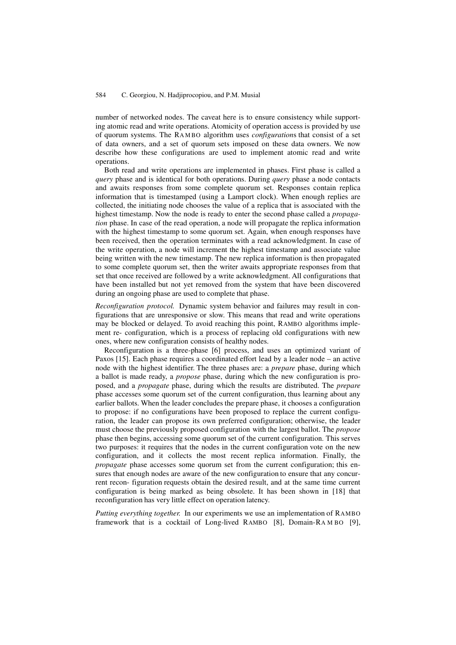number of networked nodes. The caveat here is to ensure consistency while supporting atomic read and write operations. Atomicity of operation access is provided by use of quorum systems. The RA M BO algorithm uses *configuration*s that consist of a set of data owners, and a set of quorum sets imposed on these data owners. We now describe how these configurations are used to implement atomic read and write operations.

Both read and write operations are implemented in phases. First phase is called a *query* phase and is identical for both operations. During *query* phase a node contacts and awaits responses from some complete quorum set. Responses contain replica information that is timestamped (using a Lamport clock). When enough replies are collected, the initiating node chooses the value of a replica that is associated with the highest timestamp. Now the node is ready to enter the second phase called a *propagation* phase. In case of the read operation, a node will propagate the replica information with the highest timestamp to some quorum set. Again, when enough responses have been received, then the operation terminates with a read acknowledgment. In case of the write operation, a node will increment the highest timestamp and associate value being written with the new timestamp. The new replica information is then propagated to some complete quorum set, then the writer awaits appropriate responses from that set that once received are followed by a write acknowledgment. All configurations that have been installed but not yet removed from the system that have been discovered during an ongoing phase are used to complete that phase.

*Reconfiguration protocol.* Dynamic system behavior and failures may result in configurations that are unresponsive or slow. This means that read and write operations may be blocked or delayed. To avoid reaching this point, RAMBO algorithms implement re- configuration, which is a process of replacing old configurations with new ones, where new configuration consists of healthy nodes.

Reconfiguration is a three-phase [6] process, and uses an optimized variant of Paxos [15]. Each phase requires a coordinated effort lead by a leader node – an active node with the highest identifier. The three phases are: a *prepare* phase, during which a ballot is made ready, a *propose* phase, during which the new configuration is proposed, and a *propagate* phase, during which the results are distributed. The *prepare*  phase accesses some quorum set of the current configuration, thus learning about any earlier ballots. When the leader concludes the prepare phase, it chooses a configuration to propose: if no configurations have been proposed to replace the current configuration, the leader can propose its own preferred configuration; otherwise, the leader must choose the previously proposed configuration with the largest ballot. The *propose*  phase then begins, accessing some quorum set of the current configuration. This serves two purposes: it requires that the nodes in the current configuration vote on the new configuration, and it collects the most recent replica information. Finally, the *propagate* phase accesses some quorum set from the current configuration; this ensures that enough nodes are aware of the new configuration to ensure that any concurrent recon- figuration requests obtain the desired result, and at the same time current configuration is being marked as being obsolete. It has been shown in [18] that reconfiguration has very little effect on operation latency.

*Putting everything together.* In our experiments we use an implementation of RAMBO framework that is a cocktail of Long-lived RAMBO [8], Domain-RA M BO [9],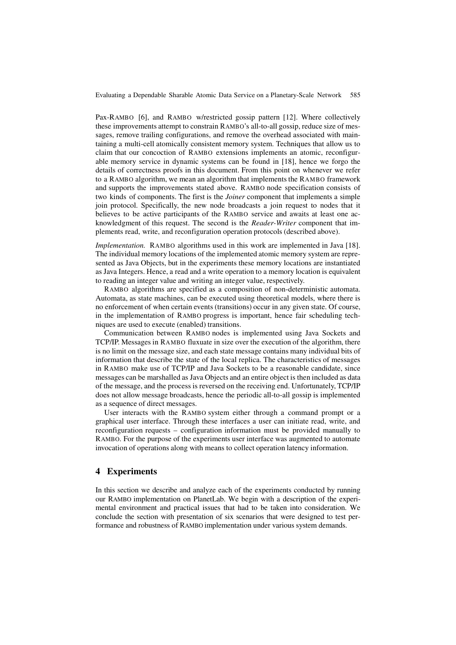Pax-RAMBO [6], and RAMBO w/restricted gossip pattern [12]. Where collectively these improvements attempt to constrain RAMBO's all-to-all gossip, reduce size of messages, remove trailing configurations, and remove the overhead associated with maintaining a multi-cell atomically consistent memory system. Techniques that allow us to claim that our concoction of RAMBO extensions implements an atomic, reconfigurable memory service in dynamic systems can be found in [18], hence we forgo the details of correctness proofs in this document. From this point on whenever we refer to a RAMBO algorithm, we mean an algorithm that implements the RAMBO framework and supports the improvements stated above. RAMBO node specification consists of two kinds of components. The first is the *Joiner* component that implements a simple join protocol. Specifically, the new node broadcasts a join request to nodes that it believes to be active participants of the RAMBO service and awaits at least one acknowledgment of this request. The second is the *Reader-Writer* component that implements read, write, and reconfiguration operation protocols (described above).

*Implementation.* RAMBO algorithms used in this work are implemented in Java [18]. The individual memory locations of the implemented atomic memory system are represented as Java Objects, but in the experiments these memory locations are instantiated as Java Integers. Hence, a read and a write operation to a memory location is equivalent to reading an integer value and writing an integer value, respectively.

RAMBO algorithms are specified as a composition of non-deterministic automata. Automata, as state machines, can be executed using theoretical models, where there is no enforcement of when certain events (transitions) occur in any given state. Of course, in the implementation of RAMBO progress is important, hence fair scheduling techniques are used to execute (enabled) transitions.

Communication between RAMBO nodes is implemented using Java Sockets and TCP/IP. Messages in RAMBO fluxuate in size over the execution of the algorithm, there is no limit on the message size, and each state message contains many individual bits of information that describe the state of the local replica. The characteristics of messages in RAMBO make use of TCP/IP and Java Sockets to be a reasonable candidate, since messages can be marshalled as Java Objects and an entire object is then included as data of the message, and the process is reversed on the receiving end. Unfortunately, TCP/IP does not allow message broadcasts, hence the periodic all-to-all gossip is implemented as a sequence of direct messages.

User interacts with the RAMBO system either through a command prompt or a graphical user interface. Through these interfaces a user can initiate read, write, and reconfiguration requests – configuration information must be provided manually to RAMBO. For the purpose of the experiments user interface was augmented to automate invocation of operations along with means to collect operation latency information.

## **4 Experiments**

In this section we describe and analyze each of the experiments conducted by running our RAMBO implementation on PlanetLab. We begin with a description of the experimental environment and practical issues that had to be taken into consideration. We conclude the section with presentation of six scenarios that were designed to test performance and robustness of RAMBO implementation under various system demands.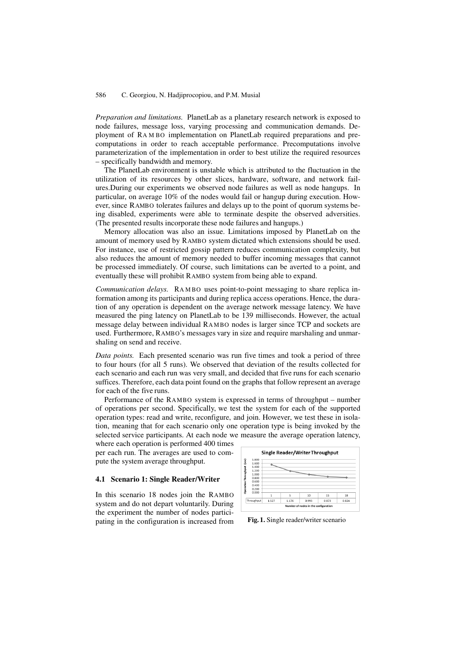*Preparation and limitations.* PlanetLab as a planetary research network is exposed to node failures, message loss, varying processing and communication demands. Deployment of RA M BO implementation on PlanetLab required preparations and precomputations in order to reach acceptable performance. Precomputations involve parameterization of the implementation in order to best utilize the required resources – specifically bandwidth and memory.

The PlanetLab environment is unstable which is attributed to the fluctuation in the utilization of its resources by other slices, hardware, software, and network failures.During our experiments we observed node failures as well as node hangups. In particular, on average 10% of the nodes would fail or hangup during execution. However, since RAMBO tolerates failures and delays up to the point of quorum systems being disabled, experiments were able to terminate despite the observed adversities. (The presented results incorporate these node failures and hangups.)

Memory allocation was also an issue. Limitations imposed by PlanetLab on the amount of memory used by RAMBO system dictated which extensions should be used. For instance, use of restricted gossip pattern reduces communication complexity, but also reduces the amount of memory needed to buffer incoming messages that cannot be processed immediately. Of course, such limitations can be averted to a point, and eventually these will prohibit RAMBO system from being able to expand.

*Communication delays.* RA M BO uses point-to-point messaging to share replica information among its participants and during replica access operations. Hence, the duration of any operation is dependent on the average network message latency. We have measured the ping latency on PlanetLab to be 139 milliseconds. However, the actual message delay between individual RA M BO nodes is larger since TCP and sockets are used. Furthermore, RAMBO's messages vary in size and require marshaling and unmarshaling on send and receive.

*Data points.* Each presented scenario was run five times and took a period of three to four hours (for all 5 runs). We observed that deviation of the results collected for each scenario and each run was very small, and decided that five runs for each scenario suffices. Therefore, each data point found on the graphs that follow represent an average for each of the five runs.

Performance of the RAMBO system is expressed in terms of throughput – number of operations per second. Specifically, we test the system for each of the supported operation types: read and write, reconfigure, and join. However, we test these in isolation, meaning that for each scenario only one operation type is being invoked by the selected service participants. At each node we measure the average operation latency,

where each operation is performed 400 times per each run. The averages are used to compute the system average throughput.

#### **4.1 Scenario 1: Single Reader/Writer**

In this scenario 18 nodes join the RAMBO system and do not depart voluntarily. During the experiment the number of nodes participating in the configuration is increased from **Fig. 1.** Single reader/writer scenario

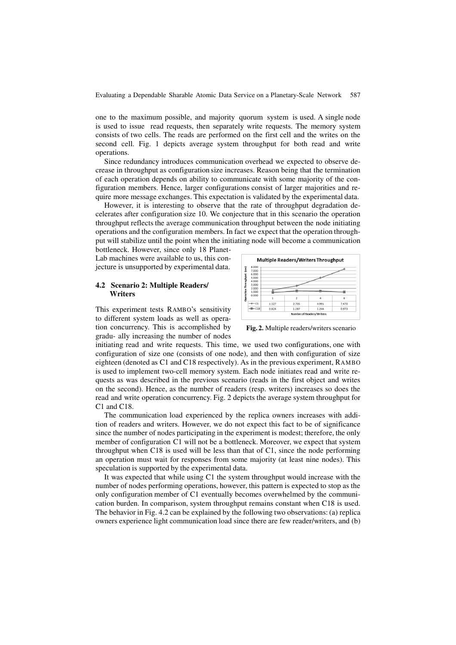one to the maximum possible, and majority quorum system is used. A single node is used to issue read requests, then separately write requests. The memory system consists of two cells. The reads are performed on the first cell and the writes on the second cell. Fig. 1 depicts average system throughput for both read and write operations.

Since redundancy introduces communication overhead we expected to observe decrease in throughput as configuration size increases. Reason being that the termination of each operation depends on ability to communicate with some majority of the configuration members. Hence, larger configurations consist of larger majorities and require more message exchanges. This expectation is validated by the experimental data.

However, it is interesting to observe that the rate of throughput degradation decelerates after configuration size 10. We conjecture that in this scenario the operation throughput reflects the average communication throughput between the node initiating operations and the configuration members. In fact we expect that the operation throughput will stabilize until the point when the initiating node will become a communication

bottleneck. However, since only 18 Planet-Lab machines were available to us, this conjecture is unsupported by experimental data.

#### **4.2 Scenario 2: Multiple Readers/ Writers**

This experiment tests RAMBO's sensitivity to different system loads as well as operation concurrency. This is accomplished by gradu- ally increasing the number of nodes



**Fig. 2.** Multiple readers/writers scenario

initiating read and write requests. This time, we used two configurations, one with configuration of size one (consists of one node), and then with configuration of size eighteen (denoted as C1 and C18 respectively). As in the previous experiment, RAM BO is used to implement two-cell memory system. Each node initiates read and write requests as was described in the previous scenario (reads in the first object and writes on the second). Hence, as the number of readers (resp. writers) increases so does the read and write operation concurrency. Fig. 2 depicts the average system throughput for C1 and C18.

The communication load experienced by the replica owners increases with addition of readers and writers. However, we do not expect this fact to be of significance since the number of nodes participating in the experiment is modest; therefore, the only member of configuration C1 will not be a bottleneck. Moreover, we expect that system throughput when C18 is used will be less than that of C1, since the node performing an operation must wait for responses from some majority (at least nine nodes). This speculation is supported by the experimental data.

It was expected that while using C1 the system throughput would increase with the number of nodes performing operations, however, this pattern is expected to stop as the only configuration member of C1 eventually becomes overwhelmed by the communication burden. In comparison, system throughput remains constant when C18 is used. The behavior in Fig. 4.2 can be explained by the following two observations: (a) replica owners experience light communication load since there are few reader/writers, and (b)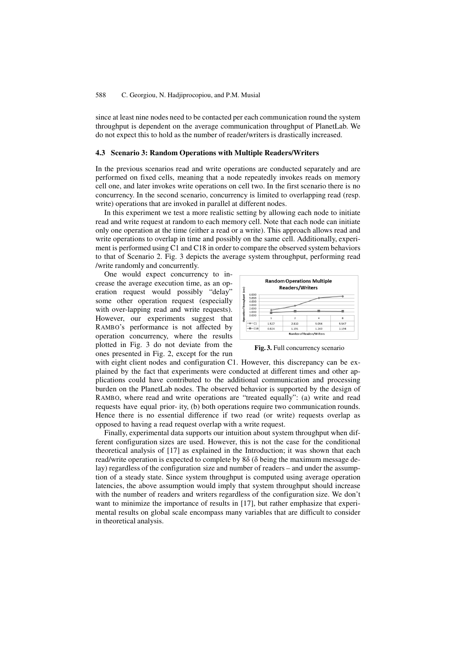since at least nine nodes need to be contacted per each communication round the system throughput is dependent on the average communication throughput of PlanetLab. We do not expect this to hold as the number of reader/writers is drastically increased.

#### **4.3 Scenario 3: Random Operations with Multiple Readers/Writers**

In the previous scenarios read and write operations are conducted separately and are performed on fixed cells, meaning that a node repeatedly invokes reads on memory cell one, and later invokes write operations on cell two. In the first scenario there is no concurrency. In the second scenario, concurrency is limited to overlapping read (resp. write) operations that are invoked in parallel at different nodes.

In this experiment we test a more realistic setting by allowing each node to initiate read and write request at random to each memory cell. Note that each node can initiate only one operation at the time (either a read or a write). This approach allows read and write operations to overlap in time and possibly on the same cell. Additionally, experiment is performed using C1 and C18 in order to compare the observed system behaviors to that of Scenario 2. Fig. 3 depicts the average system throughput, performing read /write randomly and concurrently.

One would expect concurrency to increase the average execution time, as an operation request would possibly "delay" some other operation request (especially with over-lapping read and write requests). However, our experiments suggest that RAMBO's performance is not affected by operation concurrency, where the results plotted in Fig. 3 do not deviate from the ones presented in Fig. 2, except for the run



**Fig. 3.** Full concurrency scenario

with eight client nodes and configuration C1. However, this discrepancy can be explained by the fact that experiments were conducted at different times and other applications could have contributed to the additional communication and processing burden on the PlanetLab nodes. The observed behavior is supported by the design of RAMBO, where read and write operations are "treated equally": (a) write and read requests have equal prior- ity, (b) both operations require two communication rounds. Hence there is no essential difference if two read (or write) requests overlap as opposed to having a read request overlap with a write request.

Finally, experimental data supports our intuition about system throughput when different configuration sizes are used. However, this is not the case for the conditional theoretical analysis of [17] as explained in the Introduction; it was shown that each read/write operation is expected to complete by 8δ (δ being the maximum message delay) regardless of the configuration size and number of readers – and under the assumption of a steady state. Since system throughput is computed using average operation latencies, the above assumption would imply that system throughput should increase with the number of readers and writers regardless of the configuration size. We don't want to minimize the importance of results in [17], but rather emphasize that experimental results on global scale encompass many variables that are difficult to consider in theoretical analysis.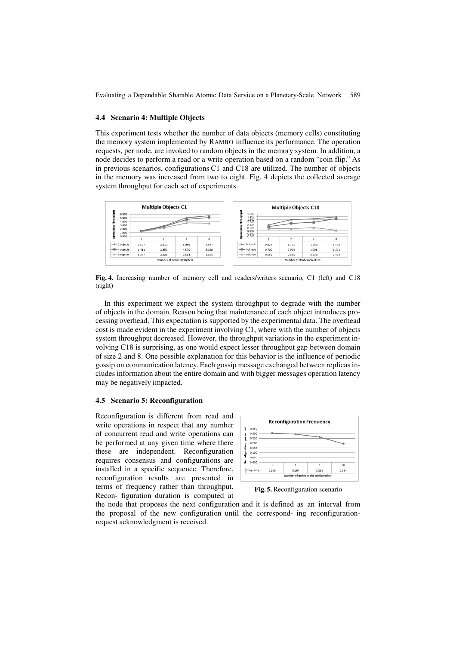#### **4.4 Scenario 4: Multiple Objects**

This experiment tests whether the number of data objects (memory cells) constituting the memory system implemented by RAMBO influence its performance. The operation requests, per node, are invoked to random objects in the memory system. In addition, a node decides to perform a read or a write operation based on a random "coin flip." As in previous scenarios, configurations C1 and C18 are utilized. The number of objects in the memory was increased from two to eight. Fig. 4 depicts the collected average system throughput for each set of experiments.



**Fig. 4.** Increasing number of memory cell and readers/writers scenario, C1 (left) and C18 (right)

In this experiment we expect the system throughput to degrade with the number of objects in the domain. Reason being that maintenance of each object introduces processing overhead. This expectation is supported by the experimental data. The overhead cost is made evident in the experiment involving C1, where with the number of objects system throughput decreased. However, the throughput variations in the experiment involving C18 is surprising, as one would expect lesser throughput gap between domain of size 2 and 8. One possible explanation for this behavior is the influence of periodic gossip on communication latency. Each gossip message exchanged between replicas includes information about the entire domain and with bigger messages operation latency may be negatively impacted.

### **4.5 Scenario 5: Reconfiguration**

Reconfiguration is different from read and write operations in respect that any number of concurrent read and write operations can be performed at any given time where there these are independent. Reconfiguration requires consensus and configurations are installed in a specific sequence. Therefore, reconfiguration results are presented in terms of frequency rather than throughput. Recon- figuration duration is computed at



**Fig. 5.** Reconfiguration scenario

the node that proposes the next configuration and it is defined as an interval from the proposal of the new configuration until the correspond- ing reconfigurationrequest acknowledgment is received.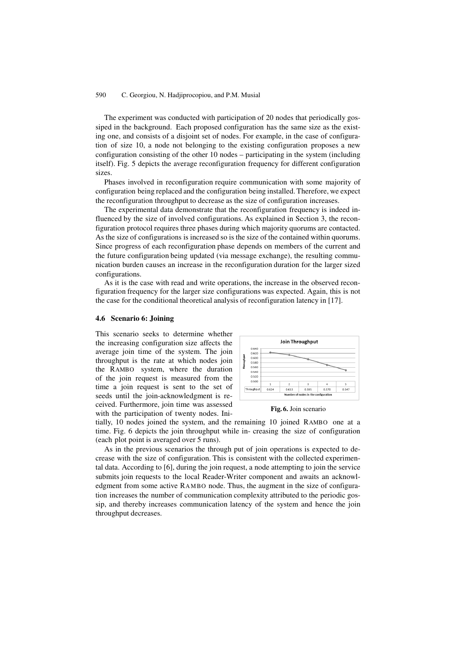The experiment was conducted with participation of 20 nodes that periodically gossiped in the background. Each proposed configuration has the same size as the existing one, and consists of a disjoint set of nodes. For example, in the case of configuration of size 10, a node not belonging to the existing configuration proposes a new configuration consisting of the other 10 nodes – participating in the system (including itself). Fig. 5 depicts the average reconfiguration frequency for different configuration sizes.

Phases involved in reconfiguration require communication with some majority of configuration being replaced and the configuration being installed. Therefore, we expect the reconfiguration throughput to decrease as the size of configuration increases.

The experimental data demonstrate that the reconfiguration frequency is indeed influenced by the size of involved configurations. As explained in Section 3, the reconfiguration protocol requires three phases during which majority quorums are contacted. As the size of configurations is increased so is the size of the contained within quorums. Since progress of each reconfiguration phase depends on members of the current and the future configuration being updated (via message exchange), the resulting communication burden causes an increase in the reconfiguration duration for the larger sized configurations.

As it is the case with read and write operations, the increase in the observed reconfiguration frequency for the larger size configurations was expected. Again, this is not the case for the conditional theoretical analysis of reconfiguration latency in [17].

#### **4.6 Scenario 6: Joining**

This scenario seeks to determine whether the increasing configuration size affects the average join time of the system. The join throughput is the rate at which nodes join the RAMBO system, where the duration of the join request is measured from the time a join request is sent to the set of seeds until the join-acknowledgment is received. Furthermore, join time was assessed with the participation of twenty nodes. Ini-



#### **Fig. 6.** Join scenario

tially, 10 nodes joined the system, and the remaining 10 joined RAMBO one at a time. Fig. 6 depicts the join throughput while in- creasing the size of configuration (each plot point is averaged over 5 runs).

As in the previous scenarios the through put of join operations is expected to decrease with the size of configuration. This is consistent with the collected experimental data. According to [6], during the join request, a node attempting to join the service submits join requests to the local Reader-Writer component and awaits an acknowledgment from some active RAMBO node. Thus, the augment in the size of configuration increases the number of communication complexity attributed to the periodic gossip, and thereby increases communication latency of the system and hence the join throughput decreases.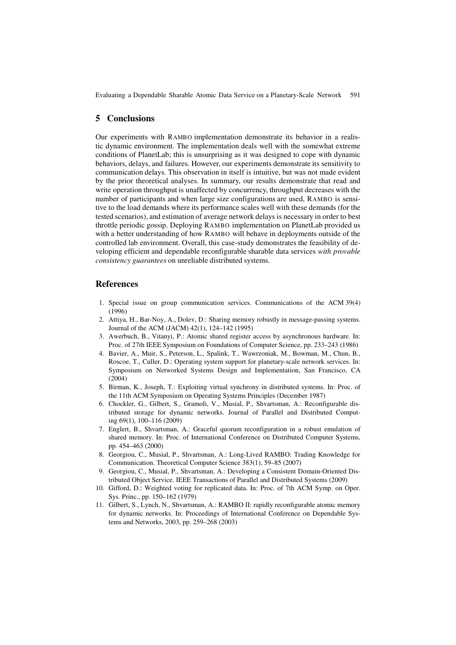### **5 Conclusions**

Our experiments with RAMBO implementation demonstrate its behavior in a realistic dynamic environment. The implementation deals well with the somewhat extreme conditions of PlanetLab; this is unsurprising as it was designed to cope with dynamic behaviors, delays, and failures. However, our experiments demonstrate its sensitivity to communication delays. This observation in itself is intuitive, but was not made evident by the prior theoretical analyses. In summary, our results demonstrate that read and write operation throughput is unaffected by concurrency, throughput decreases with the number of participants and when large size configurations are used, RAMBO is sensitive to the load demands where its performance scales well with these demands (for the tested scenarios), and estimation of average network delays is necessary in order to best throttle periodic gossip. Deploying RAM BO implementation on PlanetLab provided us with a better understanding of how RAMBO will behave in deployments outside of the controlled lab environment. Overall, this case-study demonstrates the feasibility of developing efficient and dependable reconfigurable sharable data services *with provable consistency guarantees* on unreliable distributed systems.

# **References**

- 1. Special issue on group communication services. Communications of the ACM 39(4) (1996)
- 2. Attiya, H., Bar-Noy, A., Dolev, D.: Sharing memory robustly in message-passing systems. Journal of the ACM (JACM) 42(1), 124–142 (1995)
- 3. Awerbuch, B., Vitanyi, P.: Atomic shared register access by asynchronous hardware. In: Proc. of 27th IEEE Symposium on Foundations of Computer Science, pp. 233–243 (1986)
- 4. Bavier, A., Muir, S., Peterson, L., Spalink, T., Wawrzoniak, M., Bowman, M., Chun, B., Roscoe, T., Culler, D.: Operating system support for planetary-scale network services. In: Symposium on Networked Systems Design and Implementation, San Francisco, CA (2004)
- 5. Birman, K., Joseph, T.: Exploiting virtual synchrony in distributed systems. In: Proc. of the 11th ACM Symposium on Operating Systems Principles (December 1987)
- 6. Chockler, G., Gilbert, S., Gramoli, V., Musial, P., Shvartsman, A.: Reconfigurable distributed storage for dynamic networks. Journal of Parallel and Distributed Computing 69(1), 100–116 (2009)
- 7. Englert, B., Shvartsman, A.: Graceful quorum reconfiguration in a robust emulation of shared memory. In: Proc. of International Conference on Distributed Computer Systems, pp. 454–463 (2000)
- 8. Georgiou, C., Musial, P., Shvartsman, A.: Long-Lived RAMBO: Trading Knowledge for Communication. Theoretical Computer Science 383(1), 59–85 (2007)
- 9. Georgiou, C., Musial, P., Shvartsman, A.: Developing a Consistent Domain-Oriented Distributed Object Service. IEEE Transactions of Parallel and Distributed Systems (2009)
- 10. Gifford, D.: Weighted voting for replicated data. In: Proc. of 7th ACM Symp. on Oper. Sys. Princ., pp. 150–162 (1979)
- 11. Gilbert, S., Lynch, N., Shvartsman, A.: RAMBO II: rapidly reconfigurable atomic memory for dynamic networks. In: Proceedings of International Conference on Dependable Systems and Networks, 2003, pp. 259–268 (2003)